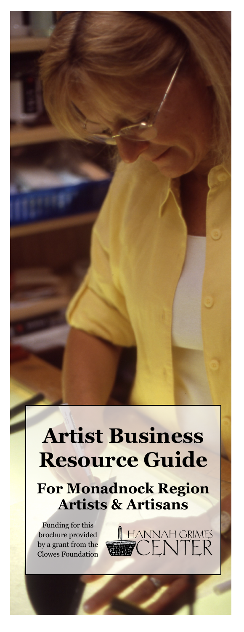## **Artist Business Resource Guide**

**For Monadnock Region Artists & Artisans**

A HANNAH GRIMES

Funding for this brochure provided by a grant from the Clowes Foundation